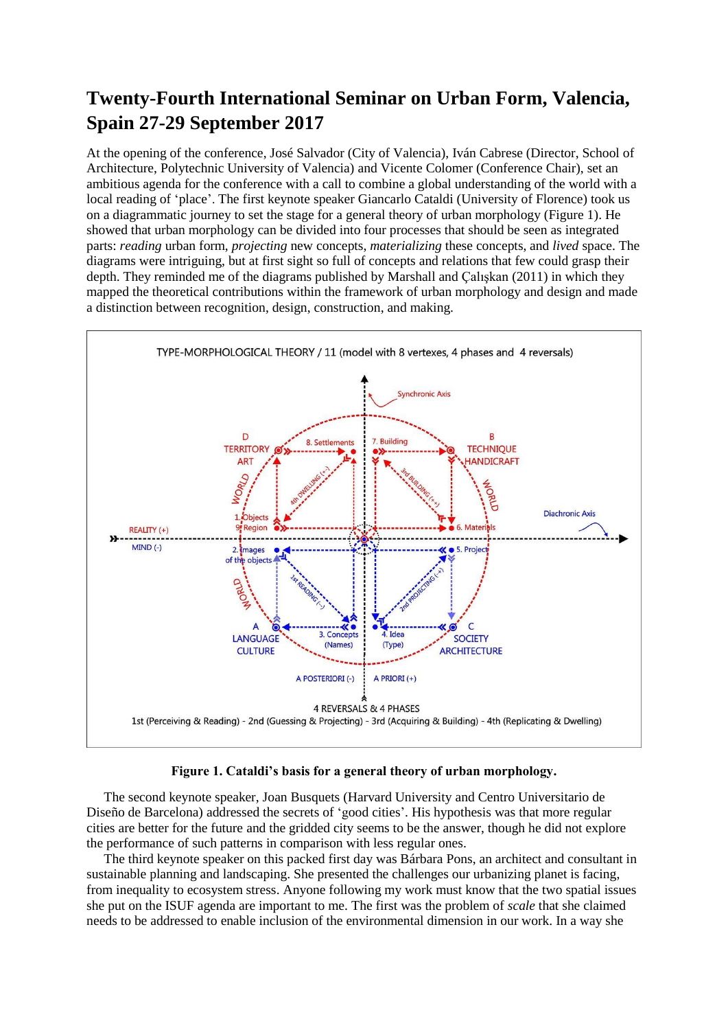## **Twenty-Fourth International Seminar on Urban Form, Valencia, Spain 27-29 September 2017**

At the opening of the conference, José Salvador (City of Valencia), Iván Cabrese (Director, School of Architecture, Polytechnic University of Valencia) and Vicente Colomer (Conference Chair), set an ambitious agenda for the conference with a call to combine a global understanding of the world with a local reading of 'place'. The first keynote speaker Giancarlo Cataldi (University of Florence) took us on a diagrammatic journey to set the stage for a general theory of urban morphology (Figure 1). He showed that urban morphology can be divided into four processes that should be seen as integrated parts: *reading* urban form, *projecting* new concepts, *materializing* these concepts, and *lived* space. The diagrams were intriguing, but at first sight so full of concepts and relations that few could grasp their depth. They reminded me of the diagrams published by Marshall and Çalışkan (2011) in which they mapped the theoretical contributions within the framework of urban morphology and design and made a distinction between recognition, design, construction, and making.



## **Figure 1. Cataldi's basis for a general theory of urban morphology.**

The second keynote speaker, Joan Busquets (Harvard University and Centro Universitario de Diseño de Barcelona) addressed the secrets of 'good cities'. His hypothesis was that more regular cities are better for the future and the gridded city seems to be the answer, though he did not explore the performance of such patterns in comparison with less regular ones.

The third keynote speaker on this packed first day was Bárbara Pons, an architect and consultant in sustainable planning and landscaping. She presented the challenges our urbanizing planet is facing, from inequality to ecosystem stress. Anyone following my work must know that the two spatial issues she put on the ISUF agenda are important to me. The first was the problem of *scale* that she claimed needs to be addressed to enable inclusion of the environmental dimension in our work. In a way she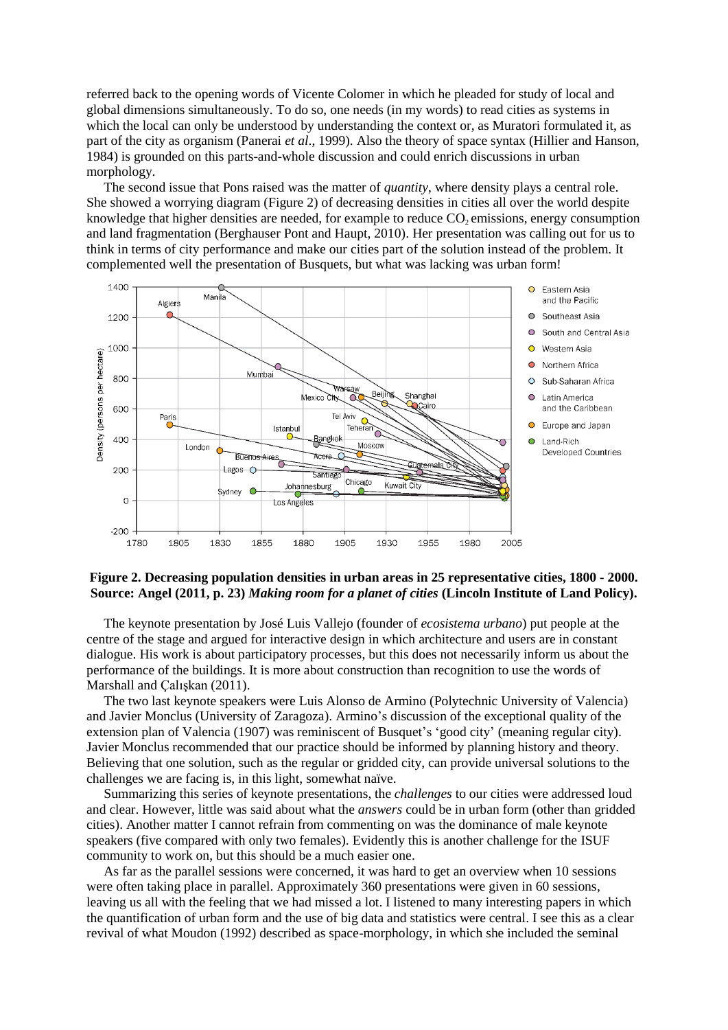referred back to the opening words of Vicente Colomer in which he pleaded for study of local and global dimensions simultaneously. To do so, one needs (in my words) to read cities as systems in which the local can only be understood by understanding the context or, as Muratori formulated it, as part of the city as organism (Panerai *et al*., 1999). Also the theory of space syntax (Hillier and Hanson, 1984) is grounded on this parts-and-whole discussion and could enrich discussions in urban morphology.

The second issue that Pons raised was the matter of *quantity*, where density plays a central role. She showed a worrying diagram (Figure 2) of decreasing densities in cities all over the world despite knowledge that higher densities are needed, for example to reduce  $CO<sub>2</sub>$  emissions, energy consumption and land fragmentation (Berghauser Pont and Haupt, 2010). Her presentation was calling out for us to think in terms of city performance and make our cities part of the solution instead of the problem. It complemented well the presentation of Busquets, but what was lacking was urban form!



## **Figure 2. Decreasing population densities in urban areas in 25 representative cities, 1800 - 2000. Source: Angel (2011, p. 23)** *Making room for a planet of cities* **(Lincoln Institute of Land Policy).**

The keynote presentation by José Luis Vallejo (founder of *ecosistema urbano*) put people at the centre of the stage and argued for interactive design in which architecture and users are in constant dialogue. His work is about participatory processes, but this does not necessarily inform us about the performance of the buildings. It is more about construction than recognition to use the words of Marshall and Çalışkan (2011).

The two last keynote speakers were Luis Alonso de Armino (Polytechnic University of Valencia) and Javier Monclus (University of Zaragoza). Armino's discussion of the exceptional quality of the extension plan of Valencia (1907) was reminiscent of Busquet's 'good city' (meaning regular city). Javier Monclus recommended that our practice should be informed by planning history and theory. Believing that one solution, such as the regular or gridded city, can provide universal solutions to the challenges we are facing is, in this light, somewhat naïve.

Summarizing this series of keynote presentations, the *challenges* to our cities were addressed loud and clear. However, little was said about what the *answers* could be in urban form (other than gridded cities). Another matter I cannot refrain from commenting on was the dominance of male keynote speakers (five compared with only two females). Evidently this is another challenge for the ISUF community to work on, but this should be a much easier one.

As far as the parallel sessions were concerned, it was hard to get an overview when 10 sessions were often taking place in parallel. Approximately 360 presentations were given in 60 sessions, leaving us all with the feeling that we had missed a lot. I listened to many interesting papers in which the quantification of urban form and the use of big data and statistics were central. I see this as a clear revival of what Moudon (1992) described as space-morphology, in which she included the seminal